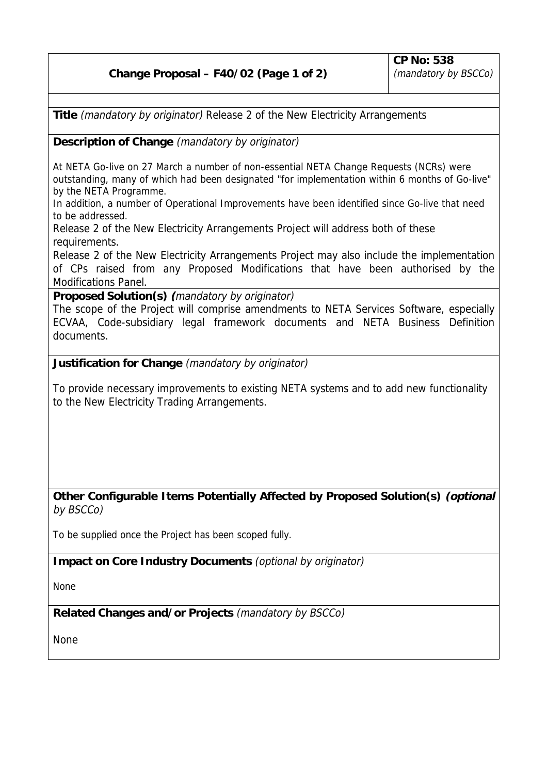**Title** (mandatory by originator) Release 2 of the New Electricity Arrangements

**Description of Change** (mandatory by originator)

At NETA Go-live on 27 March a number of non-essential NETA Change Requests (NCRs) were outstanding, many of which had been designated "for implementation within 6 months of Go-live" by the NETA Programme.

In addition, a number of Operational Improvements have been identified since Go-live that need to be addressed.

Release 2 of the New Electricity Arrangements Project will address both of these requirements.

Release 2 of the New Electricity Arrangements Project may also include the implementation of CPs raised from any Proposed Modifications that have been authorised by the Modifications Panel.

**Proposed Solution(s) (**mandatory by originator)

The scope of the Project will comprise amendments to NETA Services Software, especially ECVAA, Code-subsidiary legal framework documents and NETA Business Definition documents.

**Justification for Change** (mandatory by originator)

To provide necessary improvements to existing NETA systems and to add new functionality to the New Electricity Trading Arrangements.

**Other Configurable Items Potentially Affected by Proposed Solution(s) (optional** by BSCCo)

To be supplied once the Project has been scoped fully.

**Impact on Core Industry Documents** (optional by originator)

None

**Related Changes and/or Projects** (mandatory by BSCCo)

None